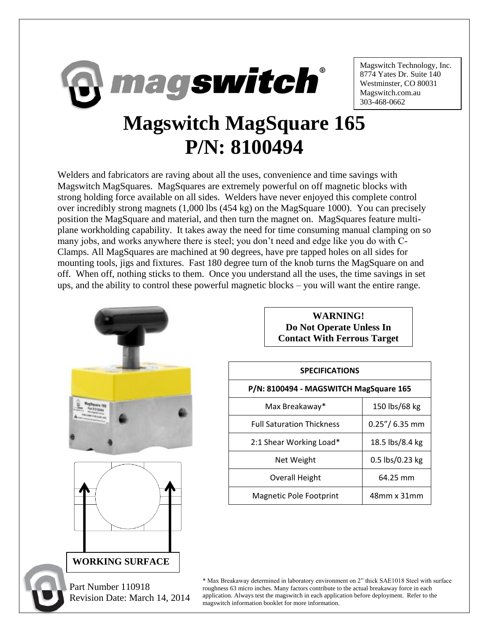

Magswitch Technology, Inc. 8774 Yates Dr. Suite 140 Westminster, CO 80031 Magswitch.com.au 303-468-0662

## **Magswitch MagSquare 165 P/N: 8100494**

Welders and fabricators are raving about all the uses, convenience and time savings with Magswitch MagSquares. MagSquares are extremely powerful on off magnetic blocks with strong holding force available on all sides. Welders have never enjoyed this complete control over incredibly strong magnets (1,000 lbs (454 kg) on the MagSquare 1000). You can precisely position the MagSquare and material, and then turn the magnet on. MagSquares feature multiplane workholding capability. It takes away the need for time consuming manual clamping on so many jobs, and works anywhere there is steel; you don't need and edge like you do with C-Clamps. All MagSquares are machined at 90 degrees, have pre tapped holes on all sides for mounting tools, jigs and fixtures. Fast 180 degree turn of the knob turns the MagSquare on and off. When off, nothing sticks to them. Once you understand all the uses, the time savings in set ups, and the ability to control these powerful magnetic blocks – you will want the entire range.



**WARNING! Do Not Operate Unless In Contact With Ferrous Target**

| <b>SPECIFICATIONS</b>                  |                  |
|----------------------------------------|------------------|
|                                        |                  |
| P/N: 8100494 - MAGSWITCH MagSquare 165 |                  |
| Max Breakaway*                         | 150 lbs/68 kg    |
| <b>Full Saturation Thickness</b>       | $0.25''/6.35$ mm |
| 2:1 Shear Working Load*                | 18.5 lbs/8.4 kg  |
| Net Weight                             | 0.5 lbs/0.23 kg  |
| Overall Height                         | 64.25 mm         |
| Magnetic Pole Footprint                | 48mm x 31mm      |

\* Max Breakaway determined in laboratory environment on 2" thick SAE1018 Steel with surface roughness 63 micro inches. Many factors contribute to the actual breakaway force in each application. Always test the magswitch in each application before deployment. Refer to the magswitch information booklet for more information.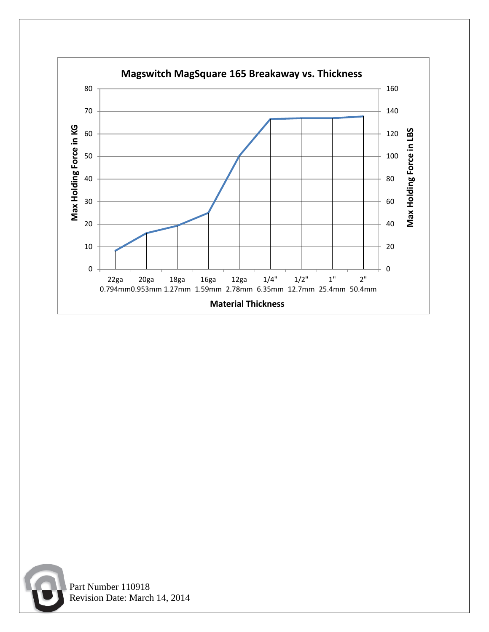